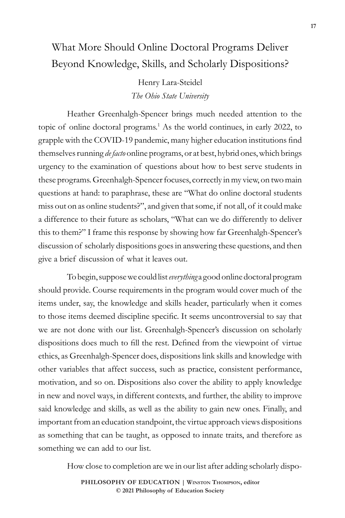## What More Should Online Doctoral Programs Deliver Beyond Knowledge, Skills, and Scholarly Dispositions?

## Henry Lara-Steidel *The Ohio State University*

Heather Greenhalgh-Spencer brings much needed attention to the topic of online doctoral programs.<sup>1</sup> As the world continues, in early 2022, to grapple with the COVID-19 pandemic, many higher education institutions find themselves running *de facto* online programs, or at best, hybrid ones, which brings urgency to the examination of questions about how to best serve students in these programs. Greenhalgh-Spencer focuses, correctly in my view, on two main questions at hand: to paraphrase, these are "What do online doctoral students miss out on as online students?", and given that some, if not all, of it could make a difference to their future as scholars, "What can we do differently to deliver this to them?" I frame this response by showing how far Greenhalgh-Spencer's discussion of scholarly dispositions goes in answering these questions, and then give a brief discussion of what it leaves out.

To begin, suppose we could list *everything* a good online doctoral program should provide. Course requirements in the program would cover much of the items under, say, the knowledge and skills header, particularly when it comes to those items deemed discipline specific. It seems uncontroversial to say that we are not done with our list. Greenhalgh-Spencer's discussion on scholarly dispositions does much to fill the rest. Defined from the viewpoint of virtue ethics, as Greenhalgh-Spencer does, dispositions link skills and knowledge with other variables that affect success, such as practice, consistent performance, motivation, and so on. Dispositions also cover the ability to apply knowledge in new and novel ways, in different contexts, and further, the ability to improve said knowledge and skills, as well as the ability to gain new ones. Finally, and important from an education standpoint, the virtue approach views dispositions as something that can be taught, as opposed to innate traits, and therefore as something we can add to our list.

How close to completion are we in our list after adding scholarly dispo-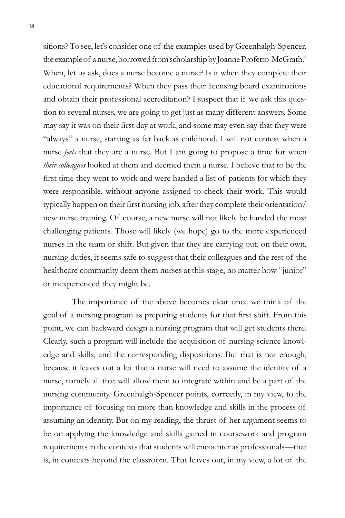sitions? To see, let's consider one of the examples used by Greenhalgh-Spencer, the example of a nurse, borrowed from scholarship by Joanne Profetto-McGrath.2 When, let us ask, does a nurse become a nurse? Is it when they complete their educational requirements? When they pass their licensing board examinations and obtain their professional accreditation? I suspect that if we ask this question to several nurses, we are going to get just as many different answers. Some may say it was on their first day at work, and some may even say that they were "always" a nurse, starting as far back as childhood. I will not contest when a nurse *feels* that they are a nurse. But I am going to propose a time for when *their colleagues* looked at them and deemed them a nurse. I believe that to be the first time they went to work and were handed a list of patients for which they were responsible, without anyone assigned to check their work. This would typically happen on their first nursing job, after they complete their orientation/ new nurse training. Of course, a new nurse will not likely be handed the most challenging patients. Those will likely (we hope) go to the more experienced nurses in the team or shift. But given that they are carrying out, on their own, nursing duties, it seems safe to suggest that their colleagues and the rest of the healthcare community deem them nurses at this stage, no matter how "junior" or inexperienced they might be.

The importance of the above becomes clear once we think of the goal of a nursing program as preparing students for that first shift. From this point, we can backward design a nursing program that will get students there. Clearly, such a program will include the acquisition of nursing science knowledge and skills, and the corresponding dispositions. But that is not enough, because it leaves out a lot that a nurse will need to assume the identity of a nurse, namely all that will allow them to integrate within and be a part of the nursing community. Greenhalgh-Spencer points, correctly, in my view, to the importance of focusing on more than knowledge and skills in the process of assuming an identity. But on my reading, the thrust of her argument seems to be on applying the knowledge and skills gained in coursework and program requirements in the contexts that students will encounter as professionals—that is, in contexts beyond the classroom. That leaves out, in my view, a lot of the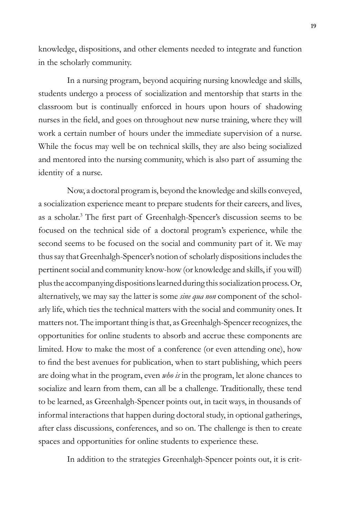knowledge, dispositions, and other elements needed to integrate and function in the scholarly community.

In a nursing program, beyond acquiring nursing knowledge and skills, students undergo a process of socialization and mentorship that starts in the classroom but is continually enforced in hours upon hours of shadowing nurses in the field, and goes on throughout new nurse training, where they will work a certain number of hours under the immediate supervision of a nurse. While the focus may well be on technical skills, they are also being socialized and mentored into the nursing community, which is also part of assuming the identity of a nurse.

Now, a doctoral program is, beyond the knowledge and skills conveyed, a socialization experience meant to prepare students for their careers, and lives, as a scholar.<sup>3</sup> The first part of Greenhalgh-Spencer's discussion seems to be focused on the technical side of a doctoral program's experience, while the second seems to be focused on the social and community part of it. We may thus say that Greenhalgh-Spencer's notion of scholarly dispositions includes the pertinent social and community know-how (or knowledge and skills, if you will) plus the accompanying dispositions learned during this socialization process. Or, alternatively, we may say the latter is some *sine qua non* component of the scholarly life, which ties the technical matters with the social and community ones. It matters not. The important thing is that, as Greenhalgh-Spencer recognizes, the opportunities for online students to absorb and accrue these components are limited. How to make the most of a conference (or even attending one), how to find the best avenues for publication, when to start publishing, which peers are doing what in the program, even *who is* in the program, let alone chances to socialize and learn from them, can all be a challenge. Traditionally, these tend to be learned, as Greenhalgh-Spencer points out, in tacit ways, in thousands of informal interactions that happen during doctoral study, in optional gatherings, after class discussions, conferences, and so on. The challenge is then to create spaces and opportunities for online students to experience these.

In addition to the strategies Greenhalgh-Spencer points out, it is crit-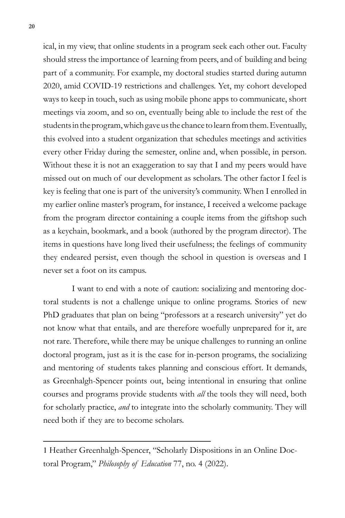ical, in my view, that online students in a program seek each other out. Faculty should stress the importance of learning from peers, and of building and being part of a community. For example, my doctoral studies started during autumn 2020, amid COVID-19 restrictions and challenges. Yet, my cohort developed ways to keep in touch, such as using mobile phone apps to communicate, short meetings via zoom, and so on, eventually being able to include the rest of the students in the program, which gave us the chance to learn from them. Eventually, this evolved into a student organization that schedules meetings and activities every other Friday during the semester, online and, when possible, in person. Without these it is not an exaggeration to say that I and my peers would have missed out on much of our development as scholars. The other factor I feel is key is feeling that one is part of the university's community. When I enrolled in my earlier online master's program, for instance, I received a welcome package from the program director containing a couple items from the giftshop such as a keychain, bookmark, and a book (authored by the program director). The items in questions have long lived their usefulness; the feelings of community they endeared persist, even though the school in question is overseas and I never set a foot on its campus.

I want to end with a note of caution: socializing and mentoring doctoral students is not a challenge unique to online programs. Stories of new PhD graduates that plan on being "professors at a research university" yet do not know what that entails, and are therefore woefully unprepared for it, are not rare. Therefore, while there may be unique challenges to running an online doctoral program, just as it is the case for in-person programs, the socializing and mentoring of students takes planning and conscious effort. It demands, as Greenhalgh-Spencer points out, being intentional in ensuring that online courses and programs provide students with *all* the tools they will need, both for scholarly practice, *and* to integrate into the scholarly community. They will need both if they are to become scholars.

<sup>1</sup> Heather Greenhalgh-Spencer, "Scholarly Dispositions in an Online Doctoral Program," *Philosophy of Education* 77, no. 4 (2022).